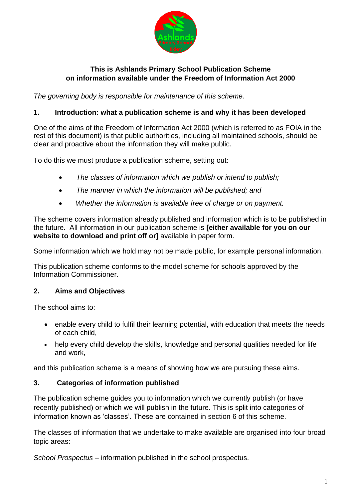

## **This is Ashlands Primary School Publication Scheme on information available under the Freedom of Information Act 2000**

*The governing body is responsible for maintenance of this scheme.*

### **1. Introduction: what a publication scheme is and why it has been developed**

One of the aims of the Freedom of Information Act 2000 (which is referred to as FOIA in the rest of this document) is that public authorities, including all maintained schools, should be clear and proactive about the information they will make public.

To do this we must produce a publication scheme, setting out:

- *The classes of information which we publish or intend to publish;*
- *The manner in which the information will be published; and*
- *Whether the information is available free of charge or on payment.*

The scheme covers information already published and information which is to be published in the future. All information in our publication scheme is **[either available for you on our website to download and print off or]** available in paper form.

Some information which we hold may not be made public, for example personal information.

This publication scheme conforms to the model scheme for schools approved by the Information Commissioner.

#### **2. Aims and Objectives**

The school aims to:

- enable every child to fulfil their learning potential, with education that meets the needs of each child,
- help every child develop the skills, knowledge and personal qualities needed for life and work,

and this publication scheme is a means of showing how we are pursuing these aims.

#### **3. Categories of information published**

The publication scheme guides you to information which we currently publish (or have recently published) or which we will publish in the future. This is split into categories of information known as 'classes'. These are contained in section 6 of this scheme.

The classes of information that we undertake to make available are organised into four broad topic areas:

*School Prospectus* – information published in the school prospectus.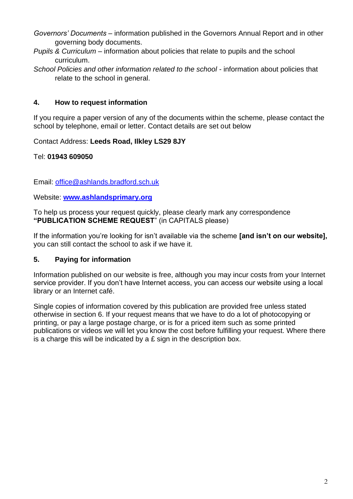- *Governors' Documents* information published in the Governors Annual Report and in other governing body documents.
- *Pupils & Curriculum* information about policies that relate to pupils and the school curriculum.
- *School Policies and other information related to the school* information about policies that relate to the school in general.

### **4. How to request information**

If you require a paper version of any of the documents within the scheme, please contact the school by telephone, email or letter. Contact details are set out below

#### Contact Address: **Leeds Road, Ilkley LS29 8JY**

Tel: **01943 609050**

Email: [office@ashlands.bradford.sch.uk](mailto:office@ashlands.bradford.sch.uk)

Website: **[www.ashlandsprimary.org](http://www.ashlandsprimary.org/)**

To help us process your request quickly, please clearly mark any correspondence **"PUBLICATION SCHEME REQUEST**" (in CAPITALS please)

If the information you're looking for isn't available via the scheme **[and isn't on our website],** you can still contact the school to ask if we have it.

#### **5. Paying for information**

Information published on our website is free, although you may incur costs from your Internet service provider. If you don't have Internet access, you can access our website using a local library or an Internet café.

Single copies of information covered by this publication are provided free unless stated otherwise in section 6. If your request means that we have to do a lot of photocopying or printing, or pay a large postage charge, or is for a priced item such as some printed publications or videos we will let you know the cost before fulfilling your request. Where there is a charge this will be indicated by a  $E$  sign in the description box.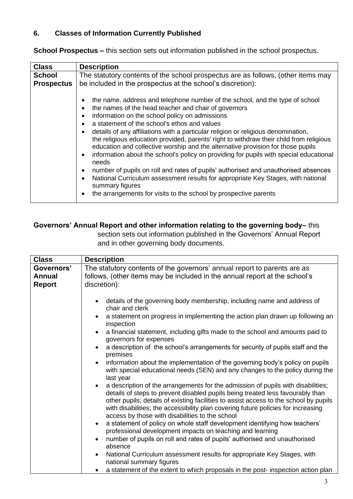# **6. Classes of Information Currently Published**

**School Prospectus –** this section sets out information published in the school prospectus.

| <b>Class</b>      | <b>Description</b>                                                                                                                                                                                                                                                                                                                                                                                                                                                                                                                                                                                                                                                                                                                                                                                                                                                                                                                                                                                 |
|-------------------|----------------------------------------------------------------------------------------------------------------------------------------------------------------------------------------------------------------------------------------------------------------------------------------------------------------------------------------------------------------------------------------------------------------------------------------------------------------------------------------------------------------------------------------------------------------------------------------------------------------------------------------------------------------------------------------------------------------------------------------------------------------------------------------------------------------------------------------------------------------------------------------------------------------------------------------------------------------------------------------------------|
| <b>School</b>     | The statutory contents of the school prospectus are as follows, (other items may                                                                                                                                                                                                                                                                                                                                                                                                                                                                                                                                                                                                                                                                                                                                                                                                                                                                                                                   |
| <b>Prospectus</b> | be included in the prospectus at the school's discretion):                                                                                                                                                                                                                                                                                                                                                                                                                                                                                                                                                                                                                                                                                                                                                                                                                                                                                                                                         |
|                   | the name, address and telephone number of the school, and the type of school<br>$\bullet$<br>the names of the head teacher and chair of governors<br>$\bullet$<br>information on the school policy on admissions<br>$\bullet$<br>a statement of the school's ethos and values<br>$\bullet$<br>details of any affiliations with a particular religion or religious denomination,<br>$\bullet$<br>the religious education provided, parents' right to withdraw their child from religious<br>education and collective worship and the alternative provision for those pupils<br>information about the school's policy on providing for pupils with special educational<br>$\bullet$<br>needs<br>number of pupils on roll and rates of pupils' authorised and unauthorised absences<br>$\bullet$<br>National Curriculum assessment results for appropriate Key Stages, with national<br>$\bullet$<br>summary figures<br>the arrangements for visits to the school by prospective parents<br>$\bullet$ |

## **Governors' Annual Report and other information relating to the governing body–** this

section sets out information published in the Governors' Annual Report and in other governing body documents.

| <b>Class</b>                                 | <b>Description</b>                                                                                                                                                                                                                                                                                                                                                                                                                                                                                                                                                                                                                                                                                                                                                                                                                                                                                                                                                                                                                                                                                                                                                                                                                                                                                                                                                                                                                                                          |
|----------------------------------------------|-----------------------------------------------------------------------------------------------------------------------------------------------------------------------------------------------------------------------------------------------------------------------------------------------------------------------------------------------------------------------------------------------------------------------------------------------------------------------------------------------------------------------------------------------------------------------------------------------------------------------------------------------------------------------------------------------------------------------------------------------------------------------------------------------------------------------------------------------------------------------------------------------------------------------------------------------------------------------------------------------------------------------------------------------------------------------------------------------------------------------------------------------------------------------------------------------------------------------------------------------------------------------------------------------------------------------------------------------------------------------------------------------------------------------------------------------------------------------------|
| Governors'<br><b>Annual</b><br><b>Report</b> | The statutory contents of the governors' annual report to parents are as<br>follows, (other items may be included in the annual report at the school's<br>discretion):                                                                                                                                                                                                                                                                                                                                                                                                                                                                                                                                                                                                                                                                                                                                                                                                                                                                                                                                                                                                                                                                                                                                                                                                                                                                                                      |
|                                              | details of the governing body membership, including name and address of<br>chair and clerk<br>a statement on progress in implementing the action plan drawn up following an<br>inspection<br>a financial statement, including gifts made to the school and amounts paid to<br>$\bullet$<br>governors for expenses<br>a description of the school's arrangements for security of pupils staff and the<br>$\bullet$<br>premises<br>information about the implementation of the governing body's policy on pupils<br>with special educational needs (SEN) and any changes to the policy during the<br>last year<br>a description of the arrangements for the admission of pupils with disabilities;<br>details of steps to prevent disabled pupils being treated less favourably than<br>other pupils; details of existing facilities to assist access to the school by pupils<br>with disabilities; the accessibility plan covering future policies for increasing<br>access by those with disabilities to the school<br>a statement of policy on whole staff development identifying how teachers'<br>$\bullet$<br>professional development impacts on teaching and learning<br>number of pupils on roll and rates of pupils' authorised and unauthorised<br>absence<br>National Curriculum assessment results for appropriate Key Stages, with<br>$\bullet$<br>national summary figures<br>a statement of the extent to which proposals in the post- inspection action plan |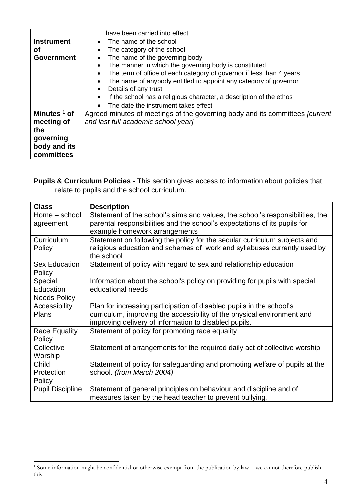|                         | have been carried into effect                                                         |
|-------------------------|---------------------------------------------------------------------------------------|
| <b>Instrument</b>       | The name of the school                                                                |
| Οf                      | The category of the school<br>$\bullet$                                               |
| <b>Government</b>       | The name of the governing body                                                        |
|                         | The manner in which the governing body is constituted<br>$\bullet$                    |
|                         | The term of office of each category of governor if less than 4 years                  |
|                         | The name of anybody entitled to appoint any category of governor<br>$\bullet$         |
|                         | Details of any trust                                                                  |
|                         | If the school has a religious character, a description of the ethos                   |
|                         | The date the instrument takes effect                                                  |
| Minutes <sup>1</sup> of | Agreed minutes of meetings of the governing body and its committees <i>[current</i> ] |
| meeting of              | and last full academic school year]                                                   |
| the                     |                                                                                       |
| governing               |                                                                                       |
| body and its            |                                                                                       |
| committees              |                                                                                       |

**Pupils & Curriculum Policies -** This section gives access to information about policies that relate to pupils and the school curriculum.

| <b>Class</b>            | <b>Description</b>                                                            |
|-------------------------|-------------------------------------------------------------------------------|
| Home - school           | Statement of the school's aims and values, the school's responsibilities, the |
| agreement               | parental responsibilities and the school's expectations of its pupils for     |
|                         | example homework arrangements                                                 |
| Curriculum              | Statement on following the policy for the secular curriculum subjects and     |
| Policy                  | religious education and schemes of work and syllabuses currently used by      |
|                         | the school                                                                    |
| Sex Education           | Statement of policy with regard to sex and relationship education             |
| Policy                  |                                                                               |
| Special                 | Information about the school's policy on providing for pupils with special    |
| Education               | educational needs                                                             |
| <b>Needs Policy</b>     |                                                                               |
| Accessibility           | Plan for increasing participation of disabled pupils in the school's          |
| <b>Plans</b>            | curriculum, improving the accessibility of the physical environment and       |
|                         | improving delivery of information to disabled pupils.                         |
| <b>Race Equality</b>    | Statement of policy for promoting race equality                               |
| Policy                  |                                                                               |
| Collective              | Statement of arrangements for the required daily act of collective worship    |
| Worship                 |                                                                               |
| Child                   | Statement of policy for safeguarding and promoting welfare of pupils at the   |
| Protection              | school. (from March 2004)                                                     |
| Policy                  |                                                                               |
| <b>Pupil Discipline</b> | Statement of general principles on behaviour and discipline and of            |
|                         | measures taken by the head teacher to prevent bullying.                       |

<sup>1</sup> Some information might be confidential or otherwise exempt from the publication by law – we cannot therefore publish this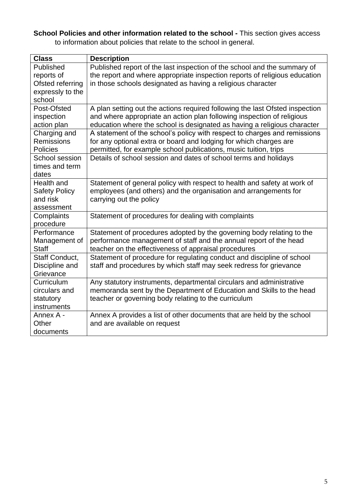**School Policies and other information related to the school -** This section gives access to information about policies that relate to the school in general.

| <b>Class</b>         | <b>Description</b>                                                           |
|----------------------|------------------------------------------------------------------------------|
| Published            | Published report of the last inspection of the school and the summary of     |
| reports of           | the report and where appropriate inspection reports of religious education   |
| Ofsted referring     | in those schools designated as having a religious character                  |
| expressly to the     |                                                                              |
| school               |                                                                              |
| Post-Ofsted          | A plan setting out the actions required following the last Ofsted inspection |
| inspection           | and where appropriate an action plan following inspection of religious       |
| action plan          | education where the school is designated as having a religious character     |
| Charging and         | A statement of the school's policy with respect to charges and remissions    |
| <b>Remissions</b>    | for any optional extra or board and lodging for which charges are            |
| <b>Policies</b>      | permitted, for example school publications, music tuition, trips             |
| School session       | Details of school session and dates of school terms and holidays             |
| times and term       |                                                                              |
| dates                |                                                                              |
| Health and           | Statement of general policy with respect to health and safety at work of     |
| <b>Safety Policy</b> | employees (and others) and the organisation and arrangements for             |
| and risk             | carrying out the policy                                                      |
| assessment           |                                                                              |
| Complaints           | Statement of procedures for dealing with complaints                          |
| procedure            |                                                                              |
| Performance          | Statement of procedures adopted by the governing body relating to the        |
| Management of        | performance management of staff and the annual report of the head            |
| <b>Staff</b>         | teacher on the effectiveness of appraisal procedures                         |
| Staff Conduct,       | Statement of procedure for regulating conduct and discipline of school       |
| Discipline and       | staff and procedures by which staff may seek redress for grievance           |
| Grievance            |                                                                              |
| Curriculum           | Any statutory instruments, departmental circulars and administrative         |
| circulars and        | memoranda sent by the Department of Education and Skills to the head         |
| statutory            | teacher or governing body relating to the curriculum                         |
| instruments          |                                                                              |
| Annex A -            | Annex A provides a list of other documents that are held by the school       |
| Other                | and are available on request                                                 |
| documents            |                                                                              |

5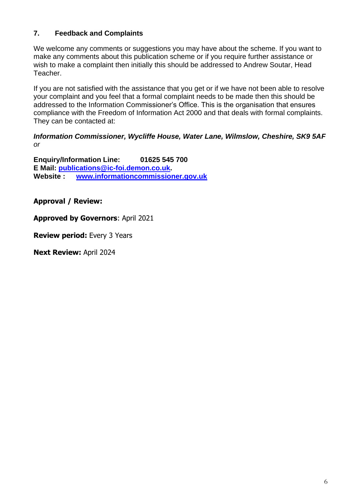# **7. Feedback and Complaints**

We welcome any comments or suggestions you may have about the scheme. If you want to make any comments about this publication scheme or if you require further assistance or wish to make a complaint then initially this should be addressed to Andrew Soutar, Head Teacher.

If you are not satisfied with the assistance that you get or if we have not been able to resolve your complaint and you feel that a formal complaint needs to be made then this should be addressed to the Information Commissioner's Office. This is the organisation that ensures compliance with the Freedom of Information Act 2000 and that deals with formal complaints. They can be contacted at:

#### *Information Commissioner, Wycliffe House, Water Lane, Wilmslow, Cheshire, SK9 5AF or*

**Enquiry/Information Line: 01625 545 700 E Mail: [publications@ic-foi.demon.co.uk.](mailto:publications@ic-foi.demonco.uk) Website : [www.informationcommissioner.gov.uk](http://www.informationcommissioner.gov.uk/)**

**Approval / Review:**

**Approved by Governors**: April 2021

**Review period:** Every 3 Years

**Next Review:** April 2024